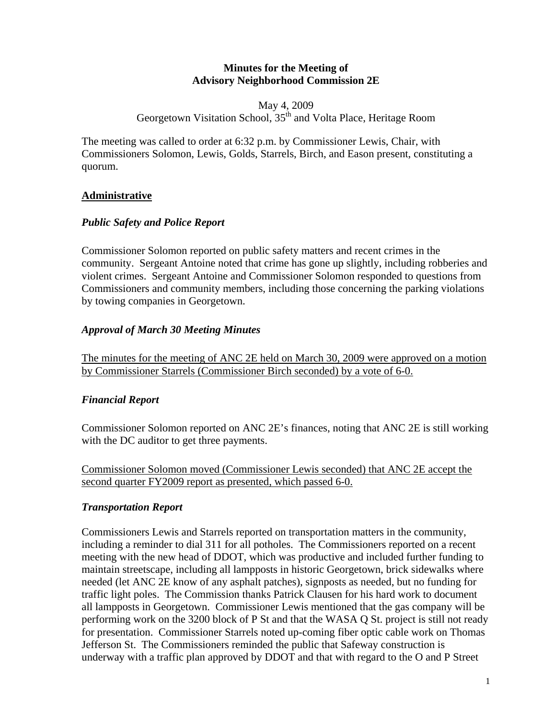#### **Minutes for the Meeting of Advisory Neighborhood Commission 2E**

May 4, 2009 Georgetown Visitation School, 35<sup>th</sup> and Volta Place, Heritage Room

The meeting was called to order at 6:32 p.m. by Commissioner Lewis, Chair, with Commissioners Solomon, Lewis, Golds, Starrels, Birch, and Eason present, constituting a quorum.

## **Administrative**

#### *Public Safety and Police Report*

Commissioner Solomon reported on public safety matters and recent crimes in the community. Sergeant Antoine noted that crime has gone up slightly, including robberies and violent crimes. Sergeant Antoine and Commissioner Solomon responded to questions from Commissioners and community members, including those concerning the parking violations by towing companies in Georgetown.

#### *Approval of March 30 Meeting Minutes*

The minutes for the meeting of ANC 2E held on March 30, 2009 were approved on a motion by Commissioner Starrels (Commissioner Birch seconded) by a vote of 6-0.

## *Financial Report*

Commissioner Solomon reported on ANC 2E's finances, noting that ANC 2E is still working with the DC auditor to get three payments.

Commissioner Solomon moved (Commissioner Lewis seconded) that ANC 2E accept the second quarter FY2009 report as presented, which passed 6-0.

## *Transportation Report*

Commissioners Lewis and Starrels reported on transportation matters in the community, including a reminder to dial 311 for all potholes. The Commissioners reported on a recent meeting with the new head of DDOT, which was productive and included further funding to maintain streetscape, including all lampposts in historic Georgetown, brick sidewalks where needed (let ANC 2E know of any asphalt patches), signposts as needed, but no funding for traffic light poles. The Commission thanks Patrick Clausen for his hard work to document all lampposts in Georgetown. Commissioner Lewis mentioned that the gas company will be performing work on the 3200 block of P St and that the WASA Q St. project is still not ready for presentation. Commissioner Starrels noted up-coming fiber optic cable work on Thomas Jefferson St. The Commissioners reminded the public that Safeway construction is underway with a traffic plan approved by DDOT and that with regard to the O and P Street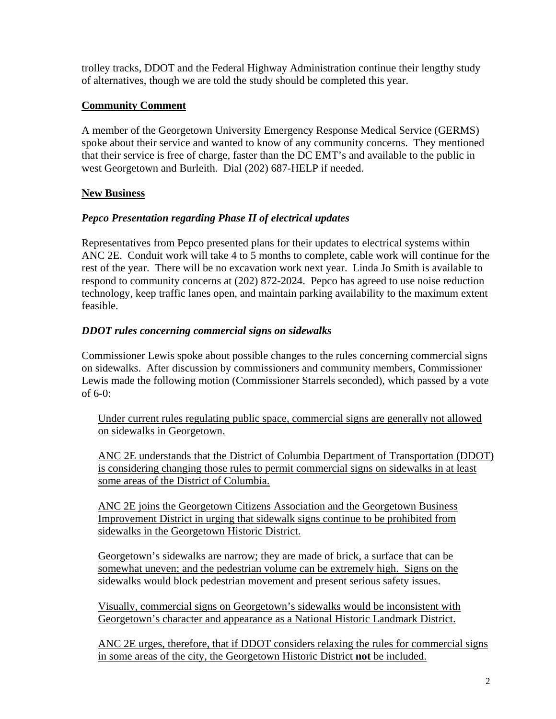trolley tracks, DDOT and the Federal Highway Administration continue their lengthy study of alternatives, though we are told the study should be completed this year.

## **Community Comment**

A member of the Georgetown University Emergency Response Medical Service (GERMS) spoke about their service and wanted to know of any community concerns. They mentioned that their service is free of charge, faster than the DC EMT's and available to the public in west Georgetown and Burleith. Dial (202) 687-HELP if needed.

## **New Business**

## *Pepco Presentation regarding Phase II of electrical updates*

Representatives from Pepco presented plans for their updates to electrical systems within ANC 2E. Conduit work will take 4 to 5 months to complete, cable work will continue for the rest of the year. There will be no excavation work next year. Linda Jo Smith is available to respond to community concerns at (202) 872-2024. Pepco has agreed to use noise reduction technology, keep traffic lanes open, and maintain parking availability to the maximum extent feasible.

## *DDOT rules concerning commercial signs on sidewalks*

Commissioner Lewis spoke about possible changes to the rules concerning commercial signs on sidewalks. After discussion by commissioners and community members, Commissioner Lewis made the following motion (Commissioner Starrels seconded), which passed by a vote of 6-0:

Under current rules regulating public space, commercial signs are generally not allowed on sidewalks in Georgetown.

ANC 2E understands that the District of Columbia Department of Transportation (DDOT) is considering changing those rules to permit commercial signs on sidewalks in at least some areas of the District of Columbia.

ANC 2E joins the Georgetown Citizens Association and the Georgetown Business Improvement District in urging that sidewalk signs continue to be prohibited from sidewalks in the Georgetown Historic District.

Georgetown's sidewalks are narrow; they are made of brick, a surface that can be somewhat uneven; and the pedestrian volume can be extremely high. Signs on the sidewalks would block pedestrian movement and present serious safety issues.

Visually, commercial signs on Georgetown's sidewalks would be inconsistent with Georgetown's character and appearance as a National Historic Landmark District.

ANC 2E urges, therefore, that if DDOT considers relaxing the rules for commercial signs in some areas of the city, the Georgetown Historic District **not** be included.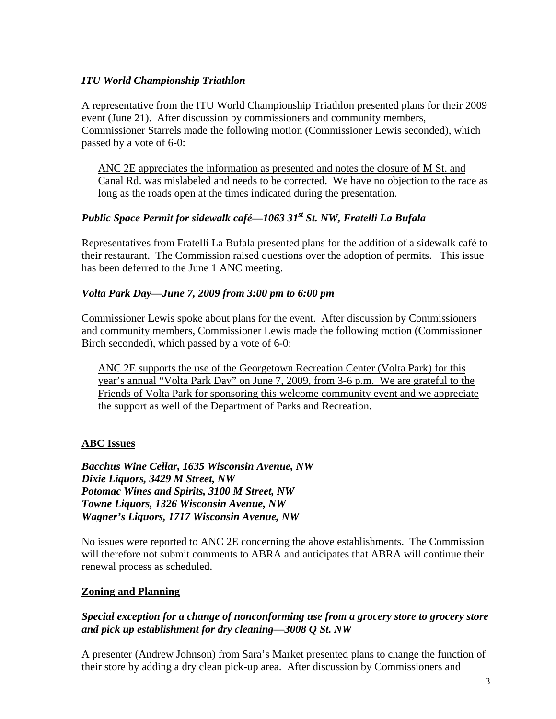## *ITU World Championship Triathlon*

A representative from the ITU World Championship Triathlon presented plans for their 2009 event (June 21). After discussion by commissioners and community members, Commissioner Starrels made the following motion (Commissioner Lewis seconded), which passed by a vote of 6-0:

ANC 2E appreciates the information as presented and notes the closure of M St. and Canal Rd. was mislabeled and needs to be corrected. We have no objection to the race as long as the roads open at the times indicated during the presentation.

## *Public Space Permit for sidewalk café—1063 31st St. NW, Fratelli La Bufala*

Representatives from Fratelli La Bufala presented plans for the addition of a sidewalk café to their restaurant. The Commission raised questions over the adoption of permits. This issue has been deferred to the June 1 ANC meeting.

#### *Volta Park Day—June 7, 2009 from 3:00 pm to 6:00 pm*

Commissioner Lewis spoke about plans for the event. After discussion by Commissioners and community members, Commissioner Lewis made the following motion (Commissioner Birch seconded), which passed by a vote of 6-0:

ANC 2E supports the use of the Georgetown Recreation Center (Volta Park) for this year's annual "Volta Park Day" on June 7, 2009, from 3-6 p.m. We are grateful to the Friends of Volta Park for sponsoring this welcome community event and we appreciate the support as well of the Department of Parks and Recreation.

## **ABC Issues**

*Bacchus Wine Cellar, 1635 Wisconsin Avenue, NW Dixie Liquors, 3429 M Street, NW Potomac Wines and Spirits, 3100 M Street, NW Towne Liquors, 1326 Wisconsin Avenue, NW Wagner's Liquors, 1717 Wisconsin Avenue, NW* 

No issues were reported to ANC 2E concerning the above establishments. The Commission will therefore not submit comments to ABRA and anticipates that ABRA will continue their renewal process as scheduled.

#### **Zoning and Planning**

#### *Special exception for a change of nonconforming use from a grocery store to grocery store and pick up establishment for dry cleaning—3008 Q St. NW*

A presenter (Andrew Johnson) from Sara's Market presented plans to change the function of their store by adding a dry clean pick-up area. After discussion by Commissioners and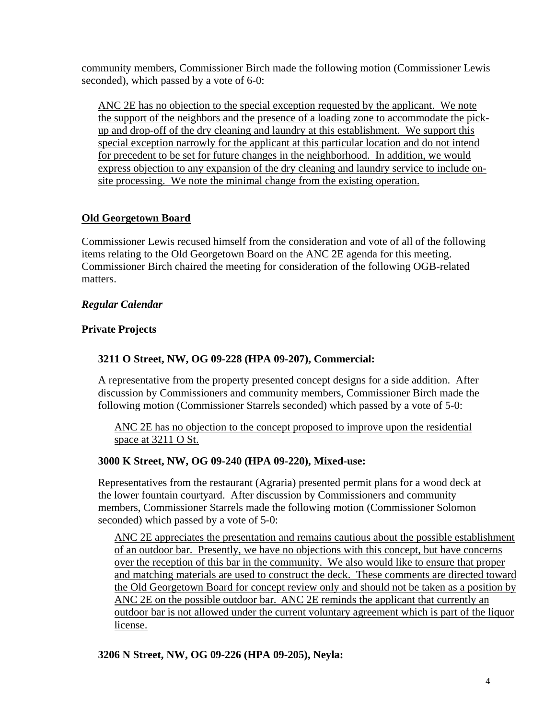community members, Commissioner Birch made the following motion (Commissioner Lewis seconded), which passed by a vote of 6-0:

ANC 2E has no objection to the special exception requested by the applicant. We note the support of the neighbors and the presence of a loading zone to accommodate the pickup and drop-off of the dry cleaning and laundry at this establishment. We support this special exception narrowly for the applicant at this particular location and do not intend for precedent to be set for future changes in the neighborhood. In addition, we would express objection to any expansion of the dry cleaning and laundry service to include onsite processing. We note the minimal change from the existing operation.

## **Old Georgetown Board**

Commissioner Lewis recused himself from the consideration and vote of all of the following items relating to the Old Georgetown Board on the ANC 2E agenda for this meeting. Commissioner Birch chaired the meeting for consideration of the following OGB-related matters.

## *Regular Calendar*

## **Private Projects**

## **3211 O Street, NW, OG 09-228 (HPA 09-207), Commercial:**

A representative from the property presented concept designs for a side addition. After discussion by Commissioners and community members, Commissioner Birch made the following motion (Commissioner Starrels seconded) which passed by a vote of 5-0:

ANC 2E has no objection to the concept proposed to improve upon the residential space at 3211 O St.

## **3000 K Street, NW, OG 09-240 (HPA 09-220), Mixed-use:**

Representatives from the restaurant (Agraria) presented permit plans for a wood deck at the lower fountain courtyard. After discussion by Commissioners and community members, Commissioner Starrels made the following motion (Commissioner Solomon seconded) which passed by a vote of 5-0:

ANC 2E appreciates the presentation and remains cautious about the possible establishment of an outdoor bar. Presently, we have no objections with this concept, but have concerns over the reception of this bar in the community. We also would like to ensure that proper and matching materials are used to construct the deck. These comments are directed toward the Old Georgetown Board for concept review only and should not be taken as a position by ANC 2E on the possible outdoor bar.ANC 2E reminds the applicant that currently an outdoor bar is not allowed under the current voluntary agreement which is part of the liquor license.

## **3206 N Street, NW, OG 09-226 (HPA 09-205), Neyla:**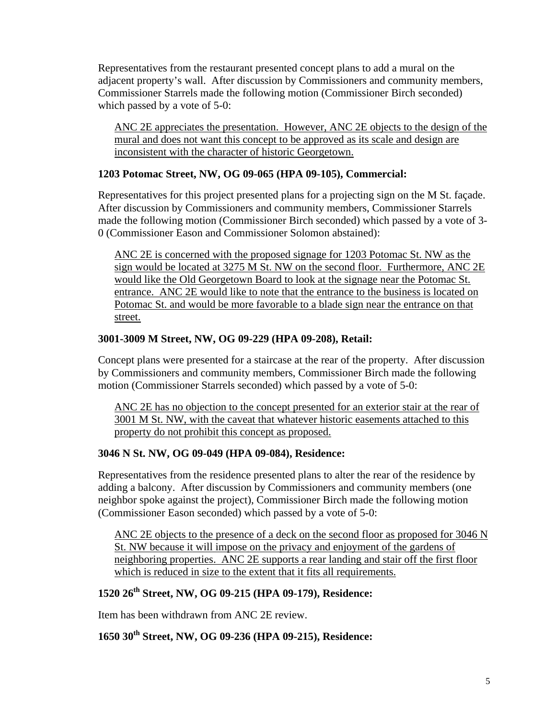Representatives from the restaurant presented concept plans to add a mural on the adjacent property's wall. After discussion by Commissioners and community members, Commissioner Starrels made the following motion (Commissioner Birch seconded) which passed by a vote of 5-0:

ANC 2E appreciates the presentation. However, ANC 2E objects to the design of the mural and does not want this concept to be approved as its scale and design are inconsistent with the character of historic Georgetown.

#### **1203 Potomac Street, NW, OG 09-065 (HPA 09-105), Commercial:**

Representatives for this project presented plans for a projecting sign on the M St. façade. After discussion by Commissioners and community members, Commissioner Starrels made the following motion (Commissioner Birch seconded) which passed by a vote of 3- 0 (Commissioner Eason and Commissioner Solomon abstained):

ANC 2E is concerned with the proposed signage for 1203 Potomac St. NW as the sign would be located at 3275 M St. NW on the second floor. Furthermore, ANC 2E would like the Old Georgetown Board to look at the signage near the Potomac St. entrance. ANC 2E would like to note that the entrance to the business is located on Potomac St. and would be more favorable to a blade sign near the entrance on that street.

#### **3001-3009 M Street, NW, OG 09-229 (HPA 09-208), Retail:**

Concept plans were presented for a staircase at the rear of the property. After discussion by Commissioners and community members, Commissioner Birch made the following motion (Commissioner Starrels seconded) which passed by a vote of 5-0:

ANC 2E has no objection to the concept presented for an exterior stair at the rear of 3001 M St. NW, with the caveat that whatever historic easements attached to this property do not prohibit this concept as proposed.

## **3046 N St. NW, OG 09-049 (HPA 09-084), Residence:**

Representatives from the residence presented plans to alter the rear of the residence by adding a balcony. After discussion by Commissioners and community members (one neighbor spoke against the project), Commissioner Birch made the following motion (Commissioner Eason seconded) which passed by a vote of 5-0:

ANC 2E objects to the presence of a deck on the second floor as proposed for 3046 N St. NW because it will impose on the privacy and enjoyment of the gardens of neighboring properties. ANC 2E supports a rear landing and stair off the first floor which is reduced in size to the extent that it fits all requirements.

## **1520 26th Street, NW, OG 09-215 (HPA 09-179), Residence:**

Item has been withdrawn from ANC 2E review.

# **1650 30th Street, NW, OG 09-236 (HPA 09-215), Residence:**